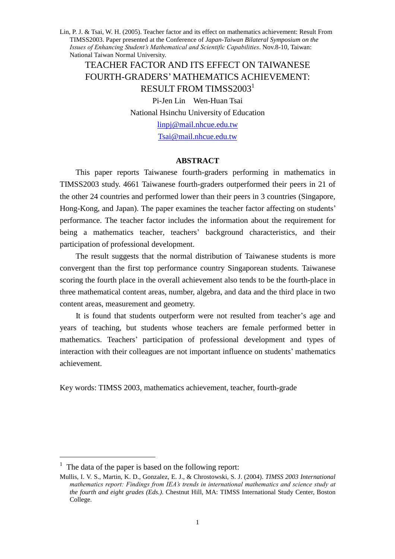TEACHER FACTOR AND ITS EFFECT ON TAIWANESE FOURTH-GRADERS'MATHEMATICS ACHIEVEMENT: RESULT FROM TIMSS2003 1 Pi-Jen Lin Wen-Huan Tsai National Hsinchu University of Education linpj@mail.nhcue.edu.tw Tsai@mail.nhcue.edu.tw

#### **ABSTRACT**

This paper reports Taiwanese fourth-graders performing in mathematics in TIMSS2003 study. 4661 Taiwanese fourth-graders outperformed their peers in 21 of the other 24 countries and performed lower than their peers in 3 countries (Singapore, Hong-Kong, and Japan). The paper examines the teacher factor affecting on students' performance. The teacher factor includes the information about the requirement for being a mathematics teacher, teachers' background characteristics, and their participation of professional development.

The result suggests that the normal distribution of Taiwanese students is more convergent than the first top performance country Singaporean students. Taiwanese scoring the fourth place in the overall achievement also tends to be the fourth-place in three mathematical content areas, number, algebra, and data and the third place in two content areas, measurement and geometry.

It is found that students outperform were not resulted from teacher's age and years of teaching, but students whose teachers are female performed better in mathematics. Teachers' participation of professional development and types of interaction with their colleagues are not important influence on students'mathematics achievement.

Key words: TIMSS 2003, mathematics achievement, teacher, fourth-grade

<sup>&</sup>lt;sup>1</sup> The data of the paper is based on the following report:

Mullis, I. V. S., Martin, K. D., Gonzalez, E. J., & Chrostowski, S. J. (2004). *TIMSS 2003 International mathematics report: Findings from IEA's trends in international mathematics and science study at the fourth and eight grades (Eds.)*. Chestnut Hill, MA: TIMSS International Study Center, Boston College.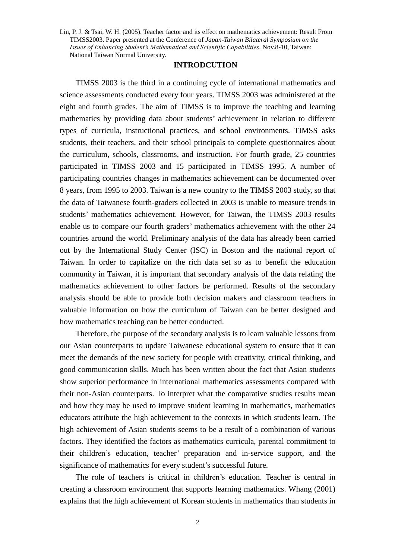#### **INTRODCUTION**

TIMSS 2003 is the third in a continuing cycle of international mathematics and science assessments conducted every four years. TIMSS 2003 was administered at the eight and fourth grades. The aim of TIMSS is to improve the teaching and learning mathematics by providing data about students'achievement in relation to different types of curricula, instructional practices, and school environments. TIMSS asks students, their teachers, and their school principals to complete questionnaires about the curriculum, schools, classrooms, and instruction. For fourth grade, 25 countries participated in TIMSS 2003 and 15 participated in TIMSS 1995. A number of participating countries changes in mathematics achievement can be documented over 8 years, from 1995 to 2003. Taiwan is a new country to the TIMSS 2003 study, so that the data of Taiwanese fourth-graders collected in 2003 is unable to measure trends in students'mathematics achievement. However, for Taiwan, the TIMSS 2003 results enable us to compare our fourth graders'mathematics achievement with the other 24 countries around the world. Preliminary analysis of the data has already been carried out by the International Study Center (ISC) in Boston and the national report of Taiwan. In order to capitalize on the rich data set so as to benefit the education community in Taiwan, it is important that secondary analysis of the data relating the mathematics achievement to other factors be performed. Results of the secondary analysis should be able to provide both decision makers and classroom teachers in valuable information on how the curriculum of Taiwan can be better designed and how mathematics teaching can be better conducted.

Therefore, the purpose of the secondary analysis is to learn valuable lessons from our Asian counterparts to update Taiwanese educational system to ensure that it can meet the demands of the new society for people with creativity, critical thinking, and good communication skills. Much has been written about the fact that Asian students show superior performance in international mathematics assessments compared with their non-Asian counterparts. To interpret what the comparative studies results mean and how they may be used to improve student learning in mathematics, mathematics educators attribute the high achievement to the contexts in which students learn. The high achievement of Asian students seems to be a result of a combination of various factors. They identified the factors as mathematics curricula, parental commitment to their children's education, teacher' preparation and in-service support, and the significance of mathematics for every student's successful future.

The role of teachers is critical in children's education. Teacher is central in creating a classroom environment that supports learning mathematics. Whang (2001) explains that the high achievement of Korean students in mathematics than students in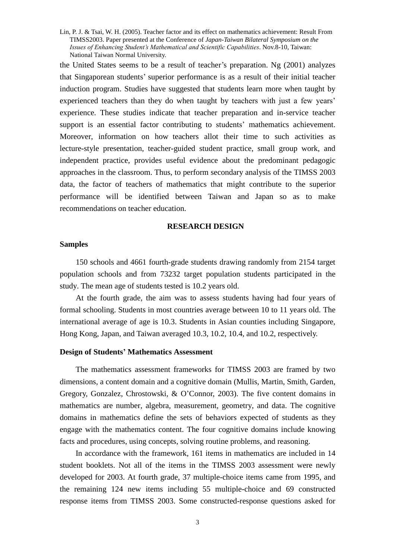the United States seems to be a result of teacher's preparation. Ng (2001) analyzes that Singaporean students'superior performance is as a result of their initial teacher induction program. Studies have suggested that students learn more when taught by experienced teachers than they do when taught by teachers with just a few years' experience. These studies indicate that teacher preparation and in-service teacher support is an essential factor contributing to students' mathematics achievement. Moreover, information on how teachers allot their time to such activities as lecture-style presentation, teacher-guided student practice, small group work, and independent practice, provides useful evidence about the predominant pedagogic approaches in the classroom. Thus, to perform secondary analysis of the TIMSS 2003 data, the factor of teachers of mathematics that might contribute to the superior performance will be identified between Taiwan and Japan so as to make recommendations on teacher education.

#### **RESEARCH DESIGN**

### **Samples**

150 schools and 4661 fourth-grade students drawing randomly from 2154 target population schools and from 73232 target population students participated in the study. The mean age of students tested is 10.2 years old.

At the fourth grade, the aim was to assess students having had four years of formal schooling. Students in most countries average between 10 to 11 years old. The international average of age is 10.3. Students in Asian counties including Singapore, Hong Kong, Japan, and Taiwan averaged 10.3, 10.2, 10.4, and 10.2, respectively.

### **Design of Students'Mathematics Assessment**

The mathematics assessment frameworks for TIMSS 2003 are framed by two dimensions, a content domain and a cognitive domain (Mullis, Martin, Smith, Garden, Gregory, Gonzalez, Chrostowski, & O'Connor, 2003). The five content domains in mathematics are number, algebra, measurement, geometry, and data. The cognitive domains in mathematics define the sets of behaviors expected of students as they engage with the mathematics content. The four cognitive domains include knowing facts and procedures, using concepts, solving routine problems, and reasoning.

In accordance with the framework, 161 items in mathematics are included in 14 student booklets. Not all of the items in the TIMSS 2003 assessment were newly developed for 2003. At fourth grade, 37 multiple-choice items came from 1995, and the remaining 124 new items including 55 multiple-choice and 69 constructed response items from TIMSS 2003. Some constructed-response questions asked for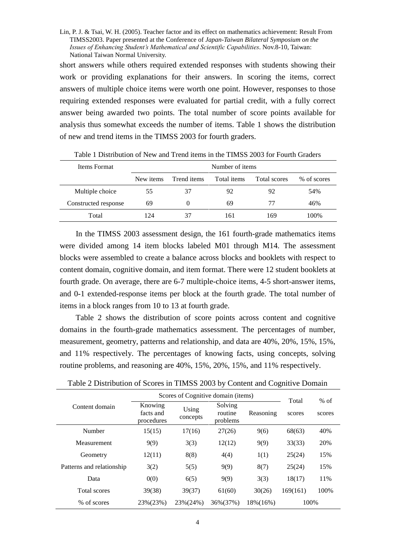short answers while others required extended responses with students showing their work or providing explanations for their answers. In scoring the items, correct answers of multiple choice items were worth one point. However, responses to those requiring extended responses were evaluated for partial credit, with a fully correct answer being awarded two points. The total number of score points available for analysis thus somewhat exceeds the number of items. Table 1 shows the distribution of new and trend items in the TIMSS 2003 for fourth graders.

| Items Format         |           | Number of items |             |              |             |  |  |  |  |  |
|----------------------|-----------|-----------------|-------------|--------------|-------------|--|--|--|--|--|
|                      | New items | Trend items     | Total items | Total scores | % of scores |  |  |  |  |  |
| Multiple choice      | 55        | 37              | 92          | 92           | 54%         |  |  |  |  |  |
| Constructed response | 69        | $\theta$        | 69          | 77           | 46%         |  |  |  |  |  |
| Total                | 124       | 37              | 161         | 169          | 100%        |  |  |  |  |  |

Table 1 Distribution of New and Trend items in the TIMSS 2003 for Fourth Graders

In the TIMSS 2003 assessment design, the 161 fourth-grade mathematics items were divided among 14 item blocks labeled M01 through M14. The assessment blocks were assembled to create a balance across blocks and booklets with respect to content domain, cognitive domain, and item format. There were 12 student booklets at fourth grade. On average, there are 6-7 multiple-choice items, 4-5 short-answer items, and 0-1 extended-response items per block at the fourth grade. The total number of items in a block ranges from 10 to 13 at fourth grade.

Table 2 shows the distribution of score points across content and cognitive domains in the fourth-grade mathematics assessment. The percentages of number, measurement, geometry, patterns and relationship, and data are 40%, 20%, 15%, 15%, and 11% respectively. The percentages of knowing facts, using concepts, solving routine problems, and reasoning are 40%, 15%, 20%, 15%, and 11% respectively.

|                           |                                                         | Scores of Cognitive domain (items) |                                | Total     | $%$ of   |        |
|---------------------------|---------------------------------------------------------|------------------------------------|--------------------------------|-----------|----------|--------|
| Content domain            | Knowing<br>Using<br>facts and<br>concepts<br>procedures |                                    | Solving<br>routine<br>problems | Reasoning | scores   | scores |
| Number                    | 15(15)                                                  | 17(16)                             | 27(26)                         | 9(6)      | 68(63)   | 40%    |
| Measurement               | 9(9)                                                    | 3(3)                               | 12(12)                         | 9(9)      | 33(33)   | 20%    |
| Geometry                  | 12(11)                                                  | 8(8)                               | 4(4)                           | 1(1)      | 25(24)   | 15%    |
| Patterns and relationship | 3(2)                                                    | 5(5)                               | 9(9)                           | 8(7)      | 25(24)   | 15%    |
| Data                      | 0(0)                                                    | 6(5)                               | 9(9)                           | 3(3)      | 18(17)   | 11%    |
| Total scores              | 39(38)                                                  | 39(37)                             | 61(60)                         | 30(26)    | 169(161) | 100%   |
| % of scores               | 23%(23%)                                                | 23%(24%)                           | 36%(37%)                       | 18%(16%)  | 100%     |        |

Table 2 Distribution of Scores in TIMSS 2003 by Content and Cognitive Domain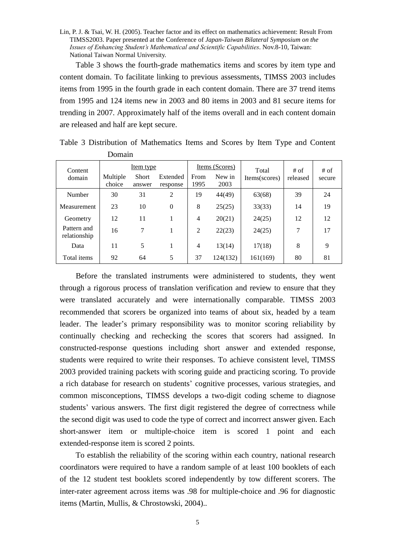Table 3 shows the fourth-grade mathematics items and scores by item type and content domain. To facilitate linking to previous assessments, TIMSS 2003 includes items from 1995 in the fourth grade in each content domain. There are 37 trend items from 1995 and 124 items new in 2003 and 80 items in 2003 and 81 secure items for trending in 2007. Approximately half of the items overall and in each content domain are released and half are kept secure.

| Content                     |                    | Item type              |                      |                                | Items (Scores) | Total         | # of     | $#$ of |  |
|-----------------------------|--------------------|------------------------|----------------------|--------------------------------|----------------|---------------|----------|--------|--|
| domain                      | Multiple<br>choice | <b>Short</b><br>answer | Extended<br>response | New in<br>From<br>1995<br>2003 |                | Items(scores) | released | secure |  |
| Number                      | 30                 | 31                     | 2                    | 19                             | 44(49)         | 63(68)        | 39       | 24     |  |
| Measurement                 | 23                 | 10                     | $\Omega$             | 8                              | 25(25)         | 33(33)        | 14       | 19     |  |
| Geometry                    | 12                 | 11                     |                      | 4                              | 20(21)         | 24(25)        | 12       | 12     |  |
| Pattern and<br>relationship | 16                 | 7                      |                      | 2                              | 22(23)         | 24(25)        | 7        | 17     |  |
| Data                        | 11                 | 5                      |                      | 4                              | 13(14)         | 17(18)        | 8        | 9      |  |
| Total items                 | 92                 | 64                     | 5                    | 37                             | 124(132)       | 161(169)      | 80       | 81     |  |

Table 3 Distribution of Mathematics Items and Scores by Item Type and Content Domain

Before the translated instruments were administered to students, they went through a rigorous process of translation verification and review to ensure that they were translated accurately and were internationally comparable. TIMSS 2003 recommended that scorers be organized into teams of about six, headed by a team leader. The leader's primary responsibility was to monitor scoring reliability by continually checking and rechecking the scores that scorers had assigned. In constructed-response questions including short answer and extended response, students were required to write their responses. To achieve consistent level, TIMSS 2003 provided training packets with scoring guide and practicing scoring. To provide a rich database for research on students'cognitive processes, various strategies, and common misconceptions, TIMSS develops a two-digit coding scheme to diagnose students' various answers. The first digit registered the degree of correctness while the second digit was used to code the type of correct and incorrect answer given. Each short-answer item or multiple-choice item is scored 1 point and each extended-response item is scored 2 points.

To establish the reliability of the scoring within each country, national research coordinators were required to have a random sample of at least 100 booklets of each of the 12 student test booklets scored independently by tow different scorers. The inter-rater agreement across items was .98 for multiple-choice and .96 for diagnostic items (Martin, Mullis, & Chrostowski, 2004)..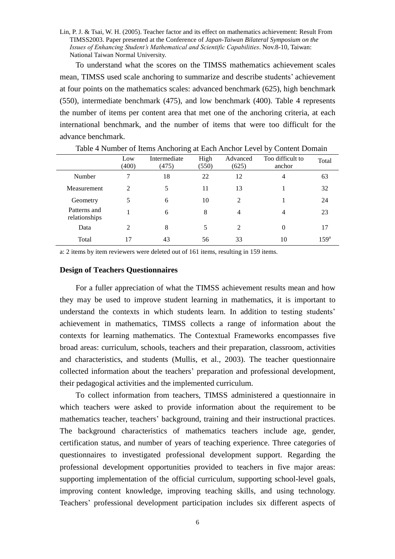To understand what the scores on the TIMSS mathematics achievement scales mean, TIMSS used scale anchoring to summarize and describe students'achievement at four points on the mathematics scales: advanced benchmark (625), high benchmark (550), intermediate benchmark (475), and low benchmark (400). Table 4 represents the number of items per content area that met one of the anchoring criteria, at each international benchmark, and the number of items that were too difficult for the advance benchmark.

|                               | Low<br>(400) | Intermediate<br>(475) | High<br>(550) | Advanced<br>(625) | Too difficult to<br>anchor | Total            |
|-------------------------------|--------------|-----------------------|---------------|-------------------|----------------------------|------------------|
| Number                        | 7            | 18                    | 22            | 12                | 4                          | 63               |
| Measurement                   | 2            |                       | 11            | 13                |                            | 32               |
| Geometry                      | 5            | 6                     | 10            | 2                 |                            | 24               |
| Patterns and<br>relationships |              | 6                     | 8             | $\overline{4}$    | 4                          | 23               |
| Data                          | 2            | 8                     | 5             | 2                 | 0                          |                  |
| Total                         | 17           | 43                    | 56            | 33                | 10                         | 159 <sup>a</sup> |

Table 4 Number of Items Anchoring at Each Anchor Level by Content Domain

a: 2 items by item reviewers were deleted out of 161 items, resulting in 159 items.

#### **Design of Teachers Questionnaires**

For a fuller appreciation of what the TIMSS achievement results mean and how they may be used to improve student learning in mathematics, it is important to understand the contexts in which students learn. In addition to testing students' achievement in mathematics, TIMSS collects a range of information about the contexts for learning mathematics. The Contextual Frameworks encompasses five broad areas: curriculum, schools, teachers and their preparation, classroom, activities and characteristics, and students (Mullis, et al., 2003). The teacher questionnaire collected information about the teachers'preparation and professional development, their pedagogical activities and the implemented curriculum.

To collect information from teachers, TIMSS administered a questionnaire in which teachers were asked to provide information about the requirement to be mathematics teacher, teachers'background, training and their instructional practices. The background characteristics of mathematics teachers include age, gender, certification status, and number of years of teaching experience. Three categories of questionnaires to investigated professional development support. Regarding the professional development opportunities provided to teachers in five major areas: supporting implementation of the official curriculum, supporting school-level goals, improving content knowledge, improving teaching skills, and using technology. Teachers'professional development participation includes six different aspects of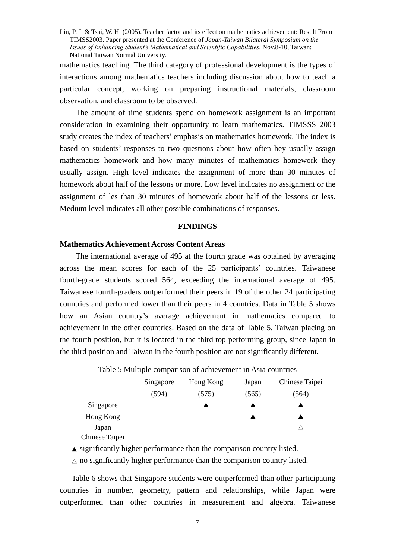mathematics teaching. The third category of professional development is the types of interactions among mathematics teachers including discussion about how to teach a particular concept, working on preparing instructional materials, classroom observation, and classroom to be observed.

The amount of time students spend on homework assignment is an important consideration in examining their opportunity to learn mathematics. TIMSSS 2003 study creates the index of teachers'emphasis on mathematics homework. The index is based on students' responses to two questions about how often hey usually assign mathematics homework and how many minutes of mathematics homework they usually assign. High level indicates the assignment of more than 30 minutes of homework about half of the lessons or more. Low level indicates no assignment or the assignment of les than 30 minutes of homework about half of the lessons or less. Medium level indicates all other possible combinations of responses.

### **FINDINGS**

# **Mathematics Achievement Across Content Areas**

The international average of 495 at the fourth grade was obtained by averaging across the mean scores for each of the 25 participants' countries. Taiwanese fourth-grade students scored 564, exceeding the international average of 495. Taiwanese fourth-graders outperformed their peers in 19 of the other 24 participating countries and performed lower than their peers in 4 countries. Data in Table 5 shows how an Asian country's average achievement in mathematics compared to achievement in the other countries. Based on the data of Table 5, Taiwan placing on the fourth position, but it is located in the third top performing group, since Japan in the third position and Taiwan in the fourth position are not significantly different.

|                | Table 5 Multiple comparison of achievement in Asia countries |           |       |                |  |  |  |  |  |  |  |
|----------------|--------------------------------------------------------------|-----------|-------|----------------|--|--|--|--|--|--|--|
|                | Singapore                                                    | Hong Kong | Japan | Chinese Taipei |  |  |  |  |  |  |  |
|                | (594)                                                        | (575)     | (565) | (564)          |  |  |  |  |  |  |  |
| Singapore      |                                                              |           |       |                |  |  |  |  |  |  |  |
| Hong Kong      |                                                              |           |       |                |  |  |  |  |  |  |  |
| Japan          |                                                              |           |       |                |  |  |  |  |  |  |  |
| Chinese Taipei |                                                              |           |       |                |  |  |  |  |  |  |  |

Table 5 Multiple comparison of achievement in Asia countries

 $\triangle$  significantly higher performance than the comparison country listed.

 $\triangle$  no significantly higher performance than the comparison country listed.

Table 6 shows that Singapore students were outperformed than other participating countries in number, geometry, pattern and relationships, while Japan were outperformed than other countries in measurement and algebra. Taiwanese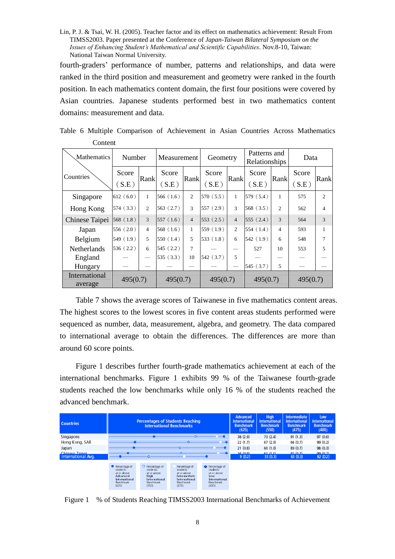fourth-graders' performance of number, patterns and relationships, and data were ranked in the third position and measurement and geometry were ranked in the fourth position. In each mathematics content domain, the first four positions were covered by Asian countries. Japanese students performed best in two mathematics content domains: measurement and data.

| <b>Mathematics</b>    |                | Number         |                | Measurement      |                | Geometry         |                | Patterns and<br>Relationships |                | Data           |  |
|-----------------------|----------------|----------------|----------------|------------------|----------------|------------------|----------------|-------------------------------|----------------|----------------|--|
| Countries             | Score<br>(S.E) | Rank           | Score<br>(S.E) | Rank             | Score<br>(S.E) | Rank             | Score<br>(S.E) | Rank                          | Score<br>(S.E) | Rank           |  |
| Singapore             | 612(6.0)       | $\mathbf{1}$   | 566(1.6)       | $\overline{c}$   | 570(5.5)       | 1                | 579 (5.4)      | $\mathbf{1}$                  | 575            | $\overline{c}$ |  |
| Hong Kong             | 574(3.3)       | $\overline{2}$ | 563(2.7)       | 3                | 557(2.9)       | 3                | 568(3.5)       | $\overline{c}$                | 562            | 4              |  |
| <b>Chinese Taipei</b> | 568(1.8)       | X              | 557 (1.6)      | $\blacktriangle$ | 553(2.5)       | $\blacktriangle$ | 555 $(2.4)$    | $\mathbf{\hat{x}}$            | 564            | 3              |  |
| Japan                 | 556(2.0)       | $\overline{4}$ | 568(1.6)       | 1                | 559(1.9)       | $\overline{2}$   | 554(1.4)       | $\overline{4}$                | 593            | 1              |  |
| Belgium               | 549(1.9)       | 5              | 550(1.4)       | 5                | 533(1.8)       | 6                | 542(1.9)       | 6                             | 548            | 7              |  |
| <b>Netherlands</b>    | 536(2.2)       | 6              | 545(2.2)       | 7                |                |                  | 527            | 10                            | 553            | 5              |  |
| England               |                |                | 535(3.3)       | 10               | 542 (3.7)      | 5                |                |                               |                |                |  |
| Hungary               |                |                |                |                  |                |                  | 545 (3.7)      | 5                             |                |                |  |
| memanonal<br>average  | 495(0.7)       |                | 495(0.7)       |                  | 495(0,7)       |                  | 495(0.7)       |                               | 495(0) 2)      |                |  |

Table 6 Multiple Comparison of Achievement in Asian Countries Across Mathematics Content

Table 7 shows the average scores of Taiwanese in five mathematics content areas. The highest scores to the lowest scores in five content areas students performed were sequenced as number, data, measurement, algebra, and geometry. The data compared to international average to obtain the differences. The differences are more than around 60 score points.

Figure 1 describes further fourth-grade mathematics achievement at each of the international benchmarks. Figure 1 exhibits 99 % of the Taiwanese fourth-grade students reached the low benchmarks while only 16 % of the students reached the advanced benchmark.

| <b>Countries</b>   |                                                                                                    | <b>Percentages of Students Reaching</b><br><b>International Benchmarks</b>                        |                                                                                                        | Advanced<br><b>International</b><br><b>Benchmark</b><br>(625)                                 | <b>High</b><br><b>International</b><br><b>Benchmark</b><br>(550) | <b>Intermediate</b><br>International<br><b>Benchmark</b><br>(475) | Low<br><b>International</b><br><b>Benchmark</b><br>(400) |          |
|--------------------|----------------------------------------------------------------------------------------------------|---------------------------------------------------------------------------------------------------|--------------------------------------------------------------------------------------------------------|-----------------------------------------------------------------------------------------------|------------------------------------------------------------------|-------------------------------------------------------------------|----------------------------------------------------------|----------|
| Singapore          |                                                                                                    |                                                                                                   |                                                                                                        |                                                                                               | 38 (2.9)                                                         | 73(2.4)                                                           | 91(1.3)                                                  | 97(0.6)  |
| Hong Kong, SAR     |                                                                                                    |                                                                                                   | ۵                                                                                                      |                                                                                               | 22(1.7)                                                          | 67(2.0)                                                           | 94 (0.7)                                                 | 99 (0.2) |
| Japan              |                                                                                                    |                                                                                                   | a.                                                                                                     |                                                                                               | 21(0.8)                                                          | 60(1.0)                                                           | 89 (0.7)                                                 | 98 (0.3) |
| Chinese Tainet     |                                                                                                    |                                                                                                   |                                                                                                        |                                                                                               | 16(0.9)                                                          | 61(1.1)                                                           | 92(0.7)                                                  | 99 (0.2) |
| International Avg. |                                                                                                    |                                                                                                   |                                                                                                        |                                                                                               | 9(0.2)                                                           | 33(0.3)                                                           | 63(0.3)                                                  | 82(0.2)  |
|                    | Percentage of<br>students<br>at or above<br>Advanced<br>International<br><b>Benchmark</b><br>(625) | O Percentage of<br>students<br>at or above<br>High-<br>International<br><b>Benchmark</b><br>(550) | Percentage of<br>students<br>at or above<br>Intermediate<br>International<br><b>Benchmark</b><br>(475) | Percentage of<br>students<br>at or above<br>low<br>International<br><b>Benchmark</b><br>(400) |                                                                  |                                                                   |                                                          |          |

Figure 1 % of Students Reaching TIMSS2003 International Benchmarks of Achievement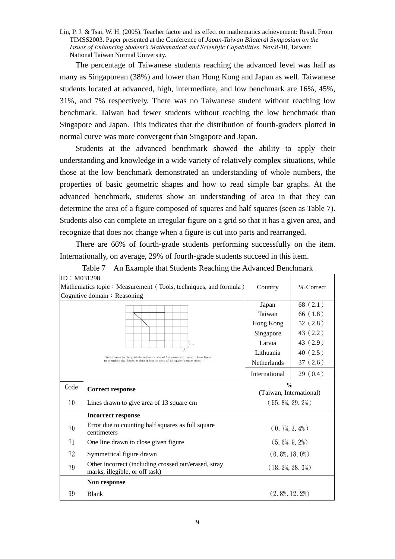The percentage of Taiwanese students reaching the advanced level was half as many as Singaporean (38%) and lower than Hong Kong and Japan as well. Taiwanese students located at advanced, high, intermediate, and low benchmark are 16%, 45%, 31%, and 7% respectively. There was no Taiwanese student without reaching low benchmark. Taiwan had fewer students without reaching the low benchmark than Singapore and Japan. This indicates that the distribution of fourth-graders plotted in normal curve was more convergent than Singapore and Japan.

Students at the advanced benchmark showed the ability to apply their understanding and knowledge in a wide variety of relatively complex situations, while those at the low benchmark demonstrated an understanding of whole numbers, the properties of basic geometric shapes and how to read simple bar graphs. At the advanced benchmark, students show an understanding of area in that they can determine the area of a figure composed of squares and half squares (seen as Table 7). Students also can complete an irregular figure on a grid so that it has a given area, and recognize that does not change when a figure is cut into parts and rearranged.

There are 66% of fourth-grade students performing successfully on the item. Internationally, on average, 29% of fourth-grade students succeed in this item.

| ID: M031298 |                                                                                             |                         |            |  |
|-------------|---------------------------------------------------------------------------------------------|-------------------------|------------|--|
|             | Mathematics topic: Measurement (Tools, techniques, and formula)                             | Country                 | % Correct  |  |
|             | Cognitive domain: Reasoning                                                                 |                         |            |  |
|             |                                                                                             | Japan                   | 68 $(2.1)$ |  |
|             |                                                                                             | Taiwan                  | 66 $(1.8)$ |  |
|             |                                                                                             | Hong Kong               | 52(2.8)    |  |
|             |                                                                                             | Singapore               | 43(2.2)    |  |
|             | 1 cm                                                                                        | Latvia                  | 43 (2.9)   |  |
|             | $\mathbf{1}$<br>The squares in the grid above have areas of 1 square centimeter. Draw lines | Lithuania               | 40(2.5)    |  |
|             | to complete the figure so that it has an area of 13 square centimeters.                     | Netherlands             | 37(2.6)    |  |
|             |                                                                                             | International           | 29(0.4)    |  |
| Code        | <b>Correct response</b>                                                                     | $\%$                    |            |  |
|             |                                                                                             | (Taiwan, International) |            |  |
| 10          | Lines drawn to give area of 13 square cm                                                    | $(65, 8\%, 29, 2\%)$    |            |  |
|             | <b>Incorrect response</b>                                                                   |                         |            |  |
| 70          | Error due to counting half squares as full square<br>centimeters                            | $(0.7\%, 3.4\%)$        |            |  |
| 71          | One line drawn to close given figure                                                        | $(5.6\%, 9.2\%)$        |            |  |
| 72          | Symmetrical figure drawn                                                                    | $(6, 8\%, 18, 0\%)$     |            |  |
| 79          | Other incorrect (including crossed out/erased, stray<br>marks, illegible, or off task)      | $(18, 2\%, 28, 0\%)$    |            |  |
|             | Non response                                                                                |                         |            |  |
| 99          | <b>Blank</b>                                                                                | $(2, 8\%, 12, 2\%)$     |            |  |

Table 7 An Example that Students Reaching the Advanced Benchmark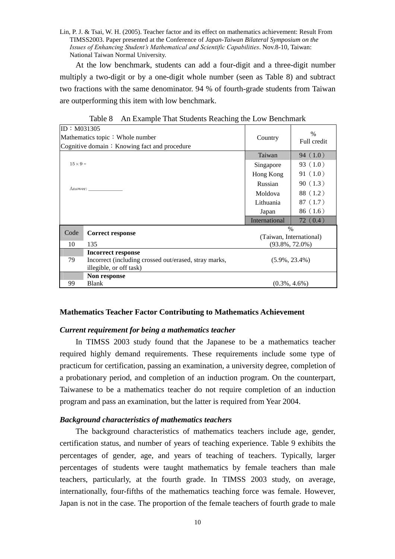At the low benchmark, students can add a four-digit and a three-digit number multiply a two-digit or by a one-digit whole number (seen as Table 8) and subtract two fractions with the same denominator. 94 % of fourth-grade students from Taiwan are outperforming this item with low benchmark.

| ID: M031305     |                                                       |                         | $\frac{0}{0}$           |  |  |
|-----------------|-------------------------------------------------------|-------------------------|-------------------------|--|--|
|                 | Mathematics topic: Whole number                       | Country                 | Full credit             |  |  |
|                 | Cognitive domain: Knowing fact and procedure          |                         |                         |  |  |
|                 |                                                       | <b>SANTA SANT</b>       | 94. 10. 10.             |  |  |
| $15 \times 9 =$ |                                                       | Singapore               | 93 $(1.0)$              |  |  |
|                 |                                                       | Hong Kong               | 91(1.0)                 |  |  |
|                 | Answer:                                               | Russian                 | 90(1.3)                 |  |  |
|                 |                                                       | Moldova                 | 88 (1.2)                |  |  |
|                 |                                                       | Lithuania               | 87(1.7)                 |  |  |
|                 |                                                       | Japan                   | 86(1.6)                 |  |  |
|                 |                                                       | <b>BREGISTER (ORDER</b> | <b>SEMBERGER</b>        |  |  |
| Code            |                                                       |                         | $\%$                    |  |  |
|                 | <b>Correct response</b>                               |                         | (Taiwan, International) |  |  |
| 10              | 135                                                   |                         | $(93.8\%, 72.0\%)$      |  |  |
|                 | Incorrect response                                    |                         |                         |  |  |
| 79              | Incorrect (including crossed out/erased, stray marks, | $(5.9\%, 23.4\%)$       |                         |  |  |
|                 | illegible, or off task)                               |                         |                         |  |  |
|                 | Non response                                          |                         |                         |  |  |
| 99              | <b>Blank</b>                                          | $(0.3\%, 4.6\%)$        |                         |  |  |

Table 8 An Example That Students Reaching the Low Benchmark

# **Mathematics Teacher Factor Contributing to Mathematics Achievement**

# *Current requirement for being a mathematics teacher*

In TIMSS 2003 study found that the Japanese to be a mathematics teacher required highly demand requirements. These requirements include some type of practicum for certification, passing an examination, a university degree, completion of a probationary period, and completion of an induction program. On the counterpart, Taiwanese to be a mathematics teacher do not require completion of an induction program and pass an examination, but the latter is required from Year 2004.

# *Background characteristics of mathematics teachers*

The background characteristics of mathematics teachers include age, gender, certification status, and number of years of teaching experience. Table 9 exhibits the percentages of gender, age, and years of teaching of teachers. Typically, larger percentages of students were taught mathematics by female teachers than male teachers, particularly, at the fourth grade. In TIMSS 2003 study, on average, internationally, four-fifths of the mathematics teaching force was female. However, Japan is not in the case. The proportion of the female teachers of fourth grade to male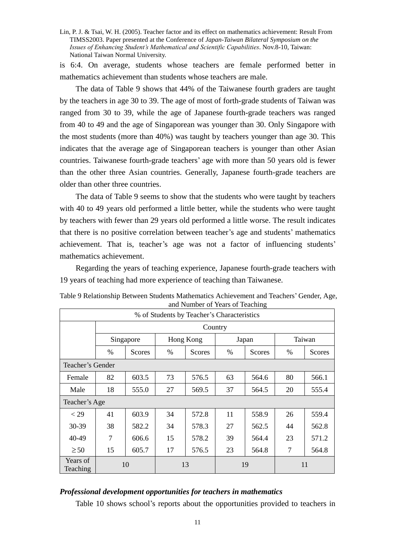is 6:4. On average, students whose teachers are female performed better in mathematics achievement than students whose teachers are male.

The data of Table 9 shows that 44% of the Taiwanese fourth graders are taught by the teachers in age 30 to 39. The age of most of forth-grade students of Taiwan was ranged from 30 to 39, while the age of Japanese fourth-grade teachers was ranged from 40 to 49 and the age of Singaporean was younger than 30. Only Singapore with the most students (more than 40%) was taught by teachers younger than age 30. This indicates that the average age of Singaporean teachers is younger than other Asian countries. Taiwanese fourth-grade teachers'age with more than 50 years old is fewer than the other three Asian countries. Generally, Japanese fourth-grade teachers are older than other three countries.

The data of Table 9 seems to show that the students who were taught by teachers with 40 to 49 years old performed a little better, while the students who were taught by teachers with fewer than 29 years old performed a little worse. The result indicates that there is no positive correlation between teacher's age and students'mathematics achievement. That is, teacher's age was not a factor of influencing students' mathematics achievement.

Regarding the years of teaching experience, Japanese fourth-grade teachers with 19 years of teaching had more experience of teaching than Taiwanese.

|                      | % of Students by Teacher's Characteristics |               |    |           |    |        |                |        |  |  |  |
|----------------------|--------------------------------------------|---------------|----|-----------|----|--------|----------------|--------|--|--|--|
|                      |                                            | Country       |    |           |    |        |                |        |  |  |  |
|                      | Singapore                                  |               |    | Hong Kong |    | Japan  |                | Taiwan |  |  |  |
|                      | %                                          | <b>Scores</b> | %  | Scores    | %  | Scores | $\%$           | Scores |  |  |  |
| Teacher's Gender     |                                            |               |    |           |    |        |                |        |  |  |  |
| Female               | 82                                         | 603.5         | 73 | 576.5     | 63 | 564.6  | 80             | 566.1  |  |  |  |
| Male                 | 18                                         | 555.0         | 27 | 569.5     | 37 | 564.5  | 20             | 555.4  |  |  |  |
| Teacher's Age        |                                            |               |    |           |    |        |                |        |  |  |  |
| $<$ 29               | 41                                         | 603.9         | 34 | 572.8     | 11 | 558.9  | 26             | 559.4  |  |  |  |
| 30-39                | 38                                         | 582.2         | 34 | 578.3     | 27 | 562.5  | 44             | 562.8  |  |  |  |
| 40-49                | 7                                          | 606.6         | 15 | 578.2     | 39 | 564.4  | 23             | 571.2  |  |  |  |
| $\geq 50$            | 15                                         | 605.7         | 17 | 576.5     | 23 | 564.8  | $\overline{7}$ | 564.8  |  |  |  |
| Years of<br>Teaching |                                            | 10            | 13 |           |    | 19     | 11             |        |  |  |  |

Table 9 Relationship Between Students Mathematics Achievement and Teachers'Gender, Age, and Number of Years of Teaching

# *Professional development opportunities for teachers in mathematics*

Table 10 shows school's reports about the opportunities provided to teachers in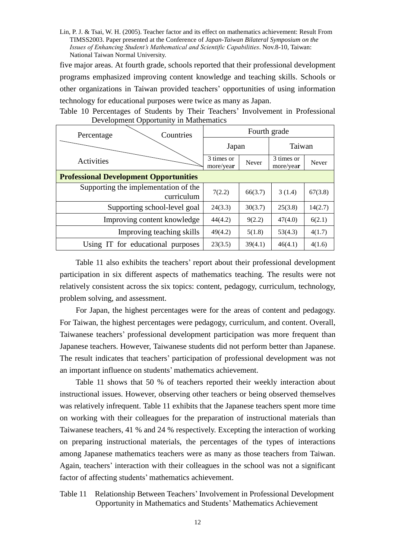five major areas. At fourth grade, schools reported that their professional development programs emphasized improving content knowledge and teaching skills. Schools or other organizations in Taiwan provided teachers'opportunities of using information technology for educational purposes were twice as many as Japan.

| Countries<br>Percentage                            | Fourth grade            |         |                         |         |  |  |  |  |  |
|----------------------------------------------------|-------------------------|---------|-------------------------|---------|--|--|--|--|--|
|                                                    | Japan                   |         | Taiwan                  |         |  |  |  |  |  |
| Activities                                         | 3 times or<br>more/year | Never   | 3 times or<br>more/year | Never   |  |  |  |  |  |
| <b>Professional Development Opportunities</b>      |                         |         |                         |         |  |  |  |  |  |
| Supporting the implementation of the<br>curriculum | 7(2.2)                  | 66(3.7) | 3(1.4)                  | 67(3.8) |  |  |  |  |  |
| Supporting school-level goal                       | 24(3.3)                 | 30(3.7) | 25(3.8)                 | 14(2.7) |  |  |  |  |  |
| Improving content knowledge                        | 44(4.2)                 | 9(2.2)  | 47(4.0)                 | 6(2.1)  |  |  |  |  |  |
| Improving teaching skills                          | 49(4.2)                 | 5(1.8)  | 53(4.3)                 | 4(1.7)  |  |  |  |  |  |
| Using IT for educational purposes                  | 23(3.5)                 | 39(4.1) | 46(4.1)                 | 4(1.6)  |  |  |  |  |  |

Table 10 Percentages of Students by Their Teachers'Involvement in Professional Development Opportunity in Mathematics

Table 11 also exhibits the teachers' report about their professional development participation in six different aspects of mathematics teaching. The results were not relatively consistent across the six topics: content, pedagogy, curriculum, technology, problem solving, and assessment.

For Japan, the highest percentages were for the areas of content and pedagogy. For Taiwan, the highest percentages were pedagogy, curriculum, and content. Overall, Taiwanese teachers'professional development participation was more frequent than Japanese teachers. However, Taiwanese students did not perform better than Japanese. The result indicates that teachers'participation of professional development was not an important influence on students'mathematics achievement.

Table 11 shows that 50 % of teachers reported their weekly interaction about instructional issues. However, observing other teachers or being observed themselves was relatively infrequent. Table 11 exhibits that the Japanese teachers spent more time on working with their colleagues for the preparation of instructional materials than Taiwanese teachers, 41 % and 24 % respectively. Excepting the interaction of working on preparing instructional materials, the percentages of the types of interactions among Japanese mathematics teachers were as many as those teachers from Taiwan. Again, teachers'interaction with their colleagues in the school was not a significant factor of affecting students' mathematics achievement.

Table 11 Relationship Between Teachers'Involvement in Professional Development Opportunity in Mathematics and Students'Mathematics Achievement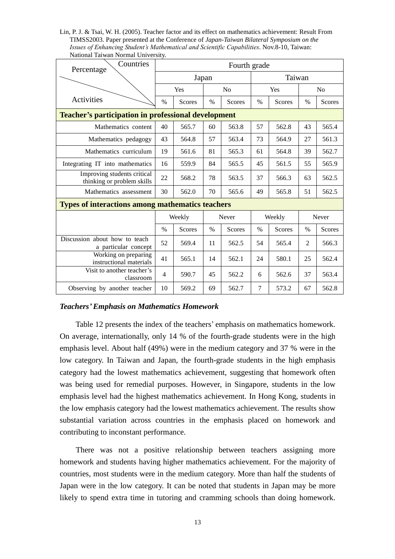Lin, P. J. & Tsai, W. H. (2005). Teacher factor and its effect on mathematics achievement: Result From TIMSS2003. Paper presented at the Conference of *Japan-Taiwan Bilateral Symposium on the Issues of Enhancing Student's Mathematical and Scientific Capabilities*. Nov.8-10, Taiwan: National Taiwan Normal University.

| Countries<br>Percentage                                    |      |               |       | Fourth grade   |                |               |       |                |  |
|------------------------------------------------------------|------|---------------|-------|----------------|----------------|---------------|-------|----------------|--|
|                                                            |      |               | Japan |                |                | Taiwan        |       |                |  |
|                                                            |      | Yes           |       | N <sub>0</sub> | Yes            |               |       | N <sub>0</sub> |  |
| Activities                                                 | %    | <b>Scores</b> | $\%$  | <b>Scores</b>  | $\%$           | <b>Scores</b> | $\%$  | <b>Scores</b>  |  |
| <b>Teacher's participation in professional development</b> |      |               |       |                |                |               |       |                |  |
| Mathematics content                                        | 40   | 565.7         | 60    | 563.8          | 57             | 562.8         | 43    | 565.4          |  |
| Mathematics pedagogy                                       | 43   | 564.8         | 57    | 563.4          | 73             | 564.9         | 27    | 561.3          |  |
| Mathematics curriculum                                     | 19   | 561.6         | 81    | 565.3          | 61             | 564.8         | 39    | 562.7          |  |
| Integrating IT into mathematics                            |      | 559.9         | 84    | 565.5          | 45             | 561.5         | 55    | 565.9          |  |
| Improving students critical<br>thinking or problem skills  | 22   | 568.2         | 78    | 563.5          | 37             | 566.3         | 63    | 562.5          |  |
| Mathematics assessment                                     | 30   | 562.0         | 70    | 565.6          | 49             | 565.8         | 51    | 562.5          |  |
| <b>Types of interactions among mathematics teachers</b>    |      |               |       |                |                |               |       |                |  |
|                                                            |      | Weekly        |       | Never          | Weekly         |               | Never |                |  |
|                                                            | $\%$ | <b>Scores</b> | $\%$  | <b>Scores</b>  | $\%$           | Scores        | $\%$  | Scores         |  |
| Discussion about how to teach<br>a particular concept      | 52   | 569.4         | 11    | 562.5          | 54             | 565.4         | 2     | 566.3          |  |
| Working on preparing<br>instructional materials            | 41   | 565.1         | 14    | 562.1          | 24             | 580.1         | 25    | 562.4          |  |
| Visit to another teacher's<br>classroom                    | 4    | 590.7         | 45    | 562.2          | 6              | 562.6         | 37    | 563.4          |  |
| Observing by another teacher                               | 10   | 569.2         | 69    | 562.7          | $\overline{7}$ | 573.2         | 67    | 562.8          |  |

## *Teachers'Emphasis on Mathematics Homework*

Table 12 presents the index of the teachers'emphasis on mathematics homework. On average, internationally, only 14 % of the fourth-grade students were in the high emphasis level. About half (49%) were in the medium category and 37 % were in the low category. In Taiwan and Japan, the fourth-grade students in the high emphasis category had the lowest mathematics achievement, suggesting that homework often was being used for remedial purposes. However, in Singapore, students in the low emphasis level had the highest mathematics achievement. In Hong Kong, students in the low emphasis category had the lowest mathematics achievement. The results show substantial variation across countries in the emphasis placed on homework and contributing to inconstant performance.

There was not a positive relationship between teachers assigning more homework and students having higher mathematics achievement. For the majority of countries, most students were in the medium category. More than half the students of Japan were in the low category. It can be noted that students in Japan may be more likely to spend extra time in tutoring and cramming schools than doing homework.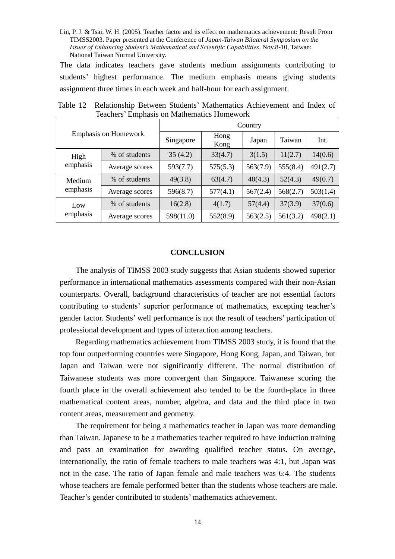The data indicates teachers gave students medium assignments contributing to students' highest performance. The medium emphasis means giving students assignment three times in each week and half-hour for each assignment.

| <b>Emphasis on Homework</b> |                | Country   |              |          |          |          |
|-----------------------------|----------------|-----------|--------------|----------|----------|----------|
|                             |                | Singapore | Hong<br>Kong | Japan    | Taiwan   | Int.     |
| High<br>emphasis            | % of students  | 35(4.2)   | 33(4.7)      | 3(1.5)   | 11(2.7)  | 14(0.6)  |
|                             | Average scores | 593(7.7)  | 575(5.3)     | 563(7.9) | 555(8.4) | 491(2.7) |
| Medium<br>emphasis          | % of students  | 49(3.8)   | 63(4.7)      | 40(4.3)  | 52(4.3)  | 49(0.7)  |
|                             | Average scores | 596(8.7)  | 577(4.1)     | 567(2.4) | 568(2.7) | 503(1.4) |
| Low<br>emphasis             | % of students  | 16(2.8)   | 4(1.7)       | 57(4.4)  | 37(3.9)  | 37(0.6)  |
|                             | Average scores | 598(11.0) | 552(8.9)     | 563(2.5) | 561(3.2) | 498(2.1) |

Table 12 Relationship Between Students' Mathematics Achievement and Index of Teachers'Emphasis on Mathematics Homework

## **CONCLUSION**

The analysis of TIMSS 2003 study suggests that Asian students showed superior performance in international mathematics assessments compared with their non-Asian counterparts. Overall, background characteristics of teacher are not essential factors contributing to students' superior performance of mathematics, excepting teacher's gender factor. Students'well performance is not the result of teachers'participation of professional development and types of interaction among teachers.

Regarding mathematics achievement from TIMSS 2003 study, it is found that the top four outperforming countries were Singapore, Hong Kong, Japan, and Taiwan, but Japan and Taiwan were not significantly different. The normal distribution of Taiwanese students was more convergent than Singapore. Taiwanese scoring the fourth place in the overall achievement also tended to be the fourth-place in three mathematical content areas, number, algebra, and data and the third place in two content areas, measurement and geometry.

The requirement for being a mathematics teacher in Japan was more demanding than Taiwan. Japanese to be a mathematics teacher required to have induction training and pass an examination for awarding qualified teacher status. On average, internationally, the ratio of female teachers to male teachers was 4:1, but Japan was not in the case. The ratio of Japan female and male teachers was 6:4. The students whose teachers are female performed better than the students whose teachers are male. Teacher's gender contributed to students'mathematics achievement.